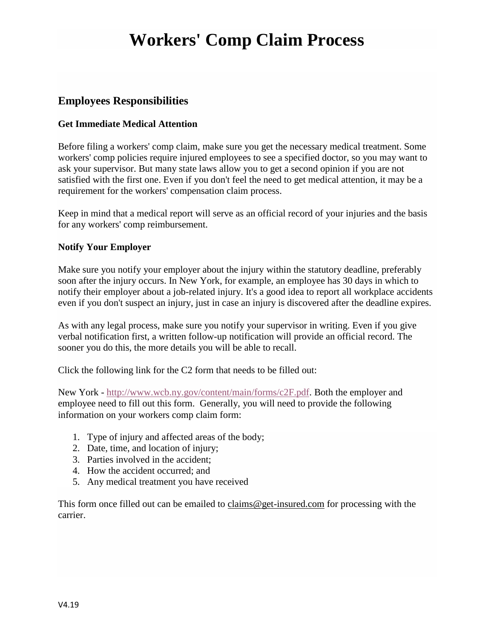## **Workers' Comp Claim Process**

### **Employees Responsibilities**

### **Get Immediate Medical Attention**

Before filing a workers' comp claim, make sure you get the necessary medical treatment. Some workers' comp policies require injured employees to see a specified doctor, so you may want to ask your supervisor. But many state laws allow you to get a second opinion if you are not satisfied with the first one. Even if you don't feel the need to get medical attention, it may be a requirement for the workers' compensation claim process.

Keep in mind that a medical report will serve as an official record of your injuries and the basis for any workers' comp reimbursement.

### **Notify Your Employer**

Make sure you [notify your employer about the injury](https://injury.findlaw.com/workers-compensation/workers-comp-in-depth.html) within the statutory deadline, preferably soon after the injury occurs. In New York, for example, an employee has 30 days in which to notify their employer about a job-related injury. It's a good idea to report all workplace accidents even if you don't suspect an injury, just in case an injury is discovered after the deadline expires.

As with any legal process, make sure you notify your supervisor in writing. Even if you give verbal notification first, a written follow-up notification will provide an official record. The sooner you do this, the more details you will be able to recall.

Click the following link for the C2 form that needs to be filled out:

New York - [http://www.wcb.ny.gov/content/main/forms/c2F.pdf.](http://www.wcb.ny.gov/content/main/forms/c2F.pdf) Both the employer and employee need to fill out this form. Generally, you will need to provide the following information on your workers comp claim form:

- 1. Type of injury and affected areas of the body;
- 2. Date, time, and location of injury;
- 3. Parties involved in the accident;
- 4. How the accident occurred; and
- 5. Any medical treatment you have received

This form once filled out can be emailed to claims  $@get$ -insured.com for processing with the carrier.